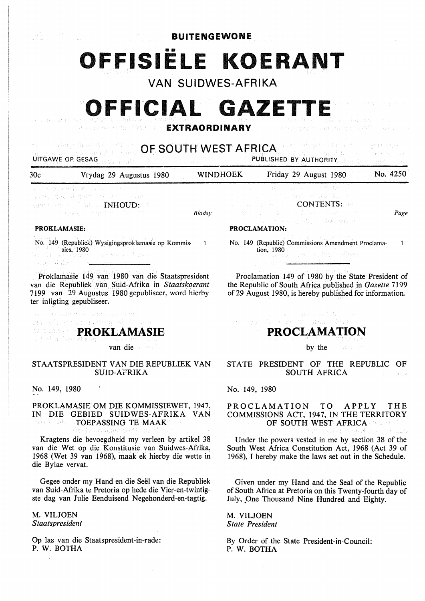**BUITENGEWONE** 

# •• **OFFISIELE KOERANT**

**VAN SUIDWES-AFRIKA** 

# **OFFICIAL GAZETTE**

**EXTRAORDINARY** 

| ag anis strepp ligge for and the c<br>(A) 스틸로(E) 클레크 프로그<br>OF SOUTH WEST AFRICA<br>We have South King And the Sea<br>mi P7 voorbm2 buren.<br>UITGAWE OP GESAG THE STATE TO BE A<br><b>PUBLISHED BY AUTHORITY</b><br>difficultural construc- |                                                                                                                                                        |                 |  |                                                                                                                                                                                                         | 的复数电路 医水杨酸<br>ingere ditti sign<br>is verkså i svenska star |
|----------------------------------------------------------------------------------------------------------------------------------------------------------------------------------------------------------------------------------------------|--------------------------------------------------------------------------------------------------------------------------------------------------------|-----------------|--|---------------------------------------------------------------------------------------------------------------------------------------------------------------------------------------------------------|-------------------------------------------------------------|
| 30c                                                                                                                                                                                                                                          | Vrydag 29 Augustus 1980                                                                                                                                | <b>WINDHOEK</b> |  | Friday 29 August 1980                                                                                                                                                                                   | No. 4250                                                    |
| <b>PROKLAMASIE:</b>                                                                                                                                                                                                                          | the subsequent of Ander Content of<br>mental des al microsoft att al san as<br>work on the first in INHOUD: WA<br>Particular Contractors with American | Bladsy          |  | 医心室 医心室 计数据 医心室 医心室 医苯基酚<br><b>アクセット しょういん こうこうせきせつ 中和 はおしまく スラース</b><br><b>CONTENTS:</b> The CONTENTS: The C<br>しゃい せんしょうしょん しおおきにん こうねばいせんじん<br>The community which also also<br><b>PROCLAMATION:</b> | Page                                                        |
|                                                                                                                                                                                                                                              | No. 149 (Republiek) Wysigingsproklamasie op Kommis-<br>sies, 1980<br>lo sil ang kama sa rampa al bios.                                                 |                 |  | No. 149 (Republic) Commissions Amendment Proclama-<br>tion, 1980<br>" a yn shw (Au, Shaw                                                                                                                |                                                             |

Proklamasie 149 van 1980 van die Staatspresident van die Republiek Nan Suid-Afrika in *Staatskoerant*  7199 van 29 Augustus 1980 gepubliseer, word hierby ter inligting gepubliseer.

are homen to make gribber bm sh ai subsactory will

**PROKLAMASIE** 

van die

#### STAATSPRESIDENT VAN DIE REPUBLIEK VAN SUID-A°i'RIKA

No. 149, 1980

and Advertisement

### PROKLAMASIE OM DIE KOMMISSIEWET, 1947, IN DIE GEBIED SUIDWES-AFRIKA VAN TOEPASSING TE MAAK

Kragtens die bevoegdheid my verleen by artikel 38 van die Wet op die Konstitusie van Suidwes-Afrika, 1968 (Wet 39 van 1968), maak ek hierby die wette in die Bylae vervat.

Gegee onder my Hand en die Seel van die Republiek van Suid-Afrika te Pretoria op hede die Vier-en-twintigste dag van Julie Eenduisend Negehonderd-en-tagtig.

**M. VILJOEN**  *Staatspresident* 

Op las van die Staatspresident-in-rade: P. W. BOTHA

Proclamation 149 of 1980 by the State President of the Republic of South Africa published in *Gazette* 7199 of 29 August 1980, is hereby published for information.

## **PROCLAMATION**

s and separate to

by the

KOMMER ORIGINAL CONTROL

#### STATE PRESIDENT OF THE REPUBLIC OF SOUTH AFRICA in a civil

No. 149, 1980

PROCLAMATION TO APPLY THE COMMISSIONS ACT, 1947, IN THE TERRITORY OF SOUTH WEST AFRICA

Under the powers vested in me by section 38 of the South West Africa Constitution Act, 1968 (Act 39 of 1968), I hereby make the laws set out in the Schedule.

Given under my Hand and the Seal of the Republic of South Africa at Pretoria on this Twenty-fourth day of July, One Thousand Nine Hundred and Eighty.

M. VILJOEN *State President* 

By Order of the State President-in-Council: P. W. BOTHA